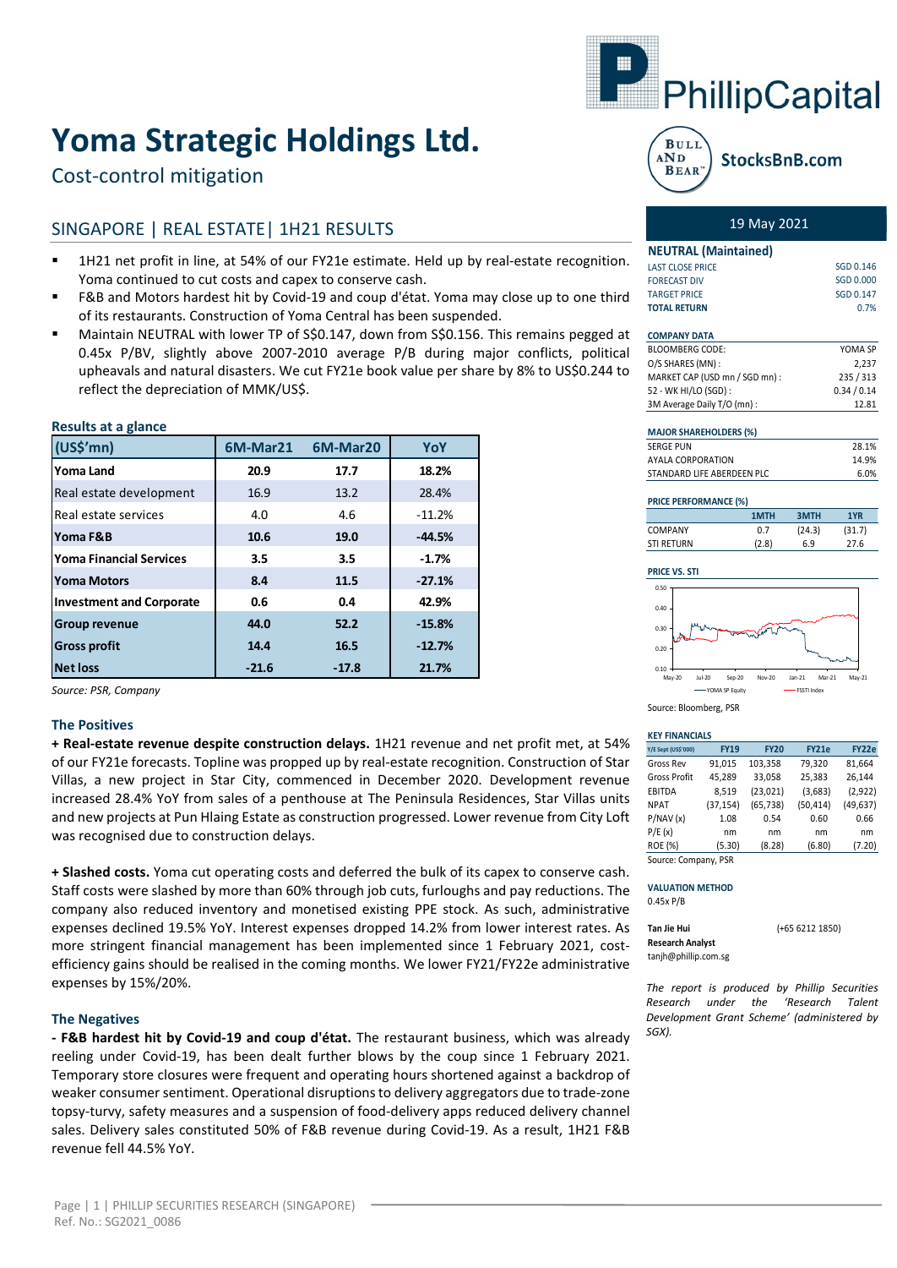# **Yoma Strategic Holdings Ltd.**

# Cost-control mitigation

## SINGAPORE | REAL ESTATE| 1H21 RESULTS

- 1H21 net profit in line, at 54% of our FY21e estimate. Held up by real-estate recognition. Yoma continued to cut costs and capex to conserve cash.
- F&B and Motors hardest hit by Covid-19 and coup d'état. Yoma may close up to one third of its restaurants. Construction of Yoma Central has been suspended.
- Maintain NEUTRAL with lower TP of S\$0.147, down from S\$0.156. This remains pegged at 0.45x P/BV, slightly above 2007-2010 average P/B during major conflicts, political upheavals and natural disasters. We cut FY21e book value per share by 8% to US\$0.244 to reflect the depreciation of MMK/US\$.

| modulio un u giurno.            |          |          |          |
|---------------------------------|----------|----------|----------|
| (US\$'mn)                       | 6M-Mar21 | 6M-Mar20 | YoY      |
| Yoma Land                       | 20.9     | 17.7     | 18.2%    |
| Real estate development         | 16.9     | 13.2     | 28.4%    |
| Real estate services            | 4.0      | 4.6      | $-11.2%$ |
| Yoma F&B                        | 10.6     | 19.0     | $-44.5%$ |
| <b>Yoma Financial Services</b>  | 3.5      | 3.5      | $-1.7%$  |
| <b>Yoma Motors</b>              | 8.4      | 11.5     | $-27.1%$ |
| <b>Investment and Corporate</b> | 0.6      | 0.4      | 42.9%    |
| <b>Group revenue</b>            | 44.0     | 52.2     | $-15.8%$ |
| <b>Gross profit</b>             | 14.4     | 16.5     | $-12.7%$ |
| <b>Net loss</b>                 | $-21.6$  | $-17.8$  | 21.7%    |

*Source: PSR, Company*

**Results at a glance**

#### **The Positives**

**+ Real-estate revenue despite construction delays.** 1H21 revenue and net profit met, at 54% of our FY21e forecasts. Topline was propped up by real-estate recognition. Construction of Star Villas, a new project in Star City, commenced in December 2020. Development revenue increased 28.4% YoY from sales of a penthouse at The Peninsula Residences, Star Villas units and new projects at Pun Hlaing Estate as construction progressed. Lower revenue from City Loft was recognised due to construction delays.

**+ Slashed costs.** Yoma cut operating costs and deferred the bulk of its capex to conserve cash. Staff costs were slashed by more than 60% through job cuts, furloughs and pay reductions. The company also reduced inventory and monetised existing PPE stock. As such, administrative expenses declined 19.5% YoY. Interest expenses dropped 14.2% from lower interest rates. As more stringent financial management has been implemented since 1 February 2021, costefficiency gains should be realised in the coming months. We lower FY21/FY22e administrative expenses by 15%/20%.

#### **The Negatives**

**- F&B hardest hit by Covid-19 and coup d'état.** The restaurant business, which was already reeling under Covid-19, has been dealt further blows by the coup since 1 February 2021. Temporary store closures were frequent and operating hours shortened against a backdrop of weaker consumer sentiment. Operational disruptions to delivery aggregators due to trade-zone topsy-turvy, safety measures and a suspension of food-delivery apps reduced delivery channel sales. Delivery sales constituted 50% of F&B revenue during Covid-19. As a result, 1H21 F&B revenue fell 44.5% YoY.





### 19 May 2021

| <b>NEUTRAL</b> (Maintained) |           |  |  |  |  |
|-----------------------------|-----------|--|--|--|--|
| <b>LAST CLOSE PRICE</b>     | SGD 0.146 |  |  |  |  |
| <b>FORECAST DIV</b>         | SGD 0.000 |  |  |  |  |
| <b>TARGET PRICE</b>         | SGD 0.147 |  |  |  |  |
| <b>TOTAL RETURN</b>         | 0.7%      |  |  |  |  |

| <b>COMPANY DATA</b>            |             |
|--------------------------------|-------------|
| <b>BLOOMBERG CODE:</b>         | YOMA SP     |
| O/S SHARES (MN):               | 2,237       |
| MARKET CAP (USD mn / SGD mn) : | 235/313     |
| 52 - WK HI/LO (SGD) :          | 0.34 / 0.14 |
| 3M Average Daily T/O (mn) :    | 12.81       |

| <b>MAJOR SHAREHOLDERS (%)</b> |       |
|-------------------------------|-------|
| <b>SERGE PUN</b>              | 28.1% |
| AYALA CORPORATION             | 14 9% |
| STANDARD LIFE ABERDEEN PLC.   | 6 በ%  |

#### **PRICE PERFORMANCE (%)**

|                   | 1MTH  | 3MTH   | 1YR    |
|-------------------|-------|--------|--------|
| <b>COMPANY</b>    | 0.7   | (24.3) | (31.7) |
| <b>STI RETURN</b> | (2.8) | 6.9    | 27.6   |

#### **PRICE VS. STI**



Source: Bloomberg, PSR

#### **KEY FINANCIALS**

| Y/E Sept (US\$'000)  | <b>FY19</b> | <b>FY20</b> | <b>FY21e</b> | FY22e     |  |  |
|----------------------|-------------|-------------|--------------|-----------|--|--|
| Gross Rev            | 91,015      | 103,358     | 79,320       | 81,664    |  |  |
| <b>Gross Profit</b>  | 45,289      | 33,058      | 25,383       | 26,144    |  |  |
| <b>EBITDA</b>        | 8,519       | (23, 021)   | (3,683)      | (2,922)   |  |  |
| <b>NPAT</b>          | (37, 154)   | (65, 738)   | (50, 414)    | (49, 637) |  |  |
| P/NAV(x)             | 1.08        | 0.54        | 0.60         | 0.66      |  |  |
| P/E(x)               | nm          | nm          | nm           | nm        |  |  |
| <b>ROE (%)</b>       | (5.30)      | (8.28)      | (6.80)       | (7.20)    |  |  |
| Source: Company, PSR |             |             |              |           |  |  |

#### **VALUATION METHOD** 0.45x P/B

| Tan Jie Hui          | $(+6562121850)$ |
|----------------------|-----------------|
| Research Analyst     |                 |
| tanjh@phillip.com.sg |                 |

*The report is produced by Phillip Securities Research under the 'Research Talent Development Grant Scheme' (administered by SGX).*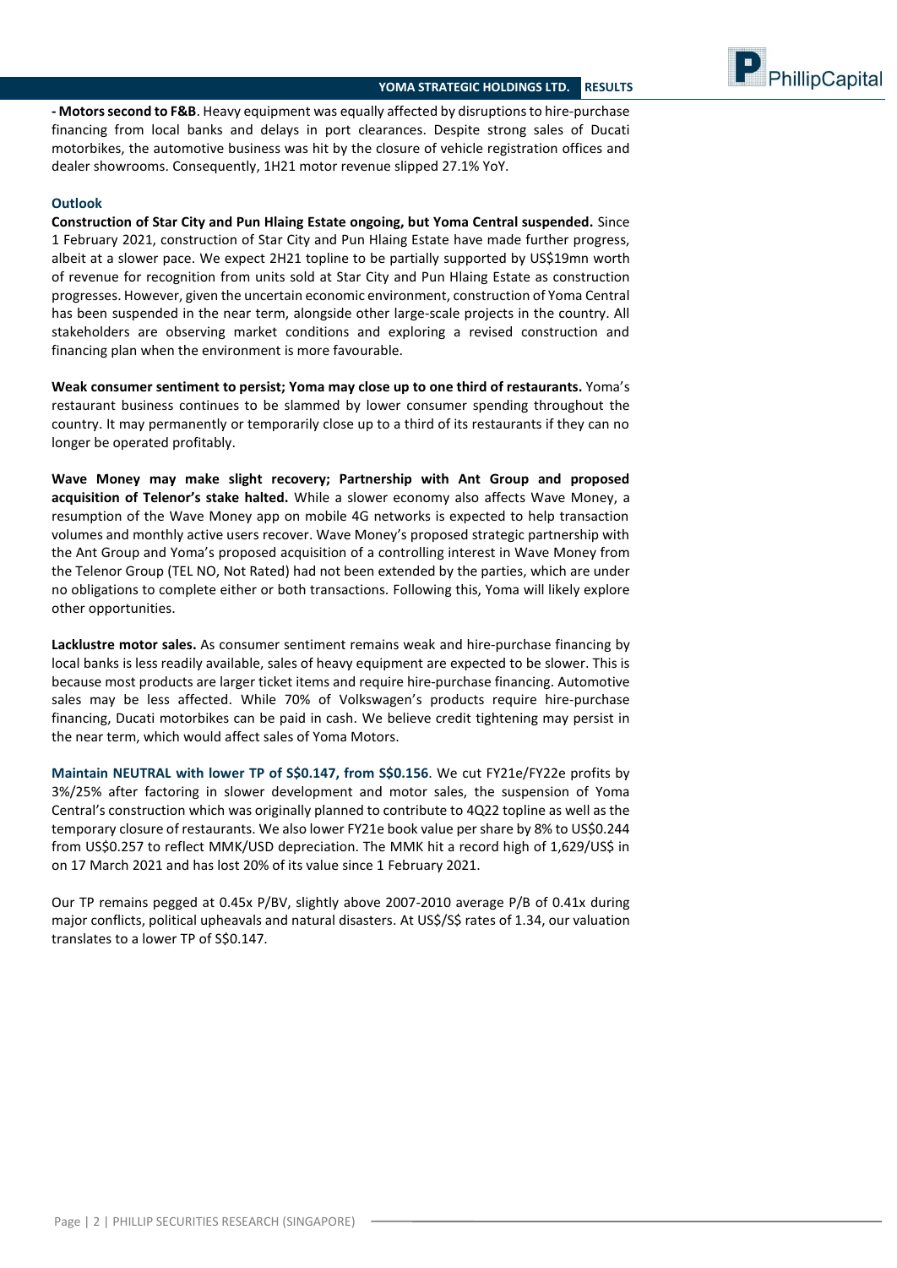

**- Motors second to F&B**. Heavy equipment was equally affected by disruptions to hire-purchase financing from local banks and delays in port clearances. Despite strong sales of Ducati motorbikes, the automotive business was hit by the closure of vehicle registration offices and dealer showrooms. Consequently, 1H21 motor revenue slipped 27.1% YoY.

#### **Outlook**

**Construction of Star City and Pun Hlaing Estate ongoing, but Yoma Central suspended.** Since 1 February 2021, construction of Star City and Pun Hlaing Estate have made further progress, albeit at a slower pace. We expect 2H21 topline to be partially supported by US\$19mn worth of revenue for recognition from units sold at Star City and Pun Hlaing Estate as construction progresses. However, given the uncertain economic environment, construction of Yoma Central has been suspended in the near term, alongside other large-scale projects in the country. All stakeholders are observing market conditions and exploring a revised construction and financing plan when the environment is more favourable.

**Weak consumer sentiment to persist; Yoma may close up to one third of restaurants.** Yoma's restaurant business continues to be slammed by lower consumer spending throughout the country. It may permanently or temporarily close up to a third of its restaurants if they can no longer be operated profitably.

**Wave Money may make slight recovery; Partnership with Ant Group and proposed acquisition of Telenor's stake halted.** While a slower economy also affects Wave Money, a resumption of the Wave Money app on mobile 4G networks is expected to help transaction volumes and monthly active users recover. Wave Money's proposed strategic partnership with the Ant Group and Yoma's proposed acquisition of a controlling interest in Wave Money from the Telenor Group (TEL NO, Not Rated) had not been extended by the parties, which are under no obligations to complete either or both transactions. Following this, Yoma will likely explore other opportunities.

**Lacklustre motor sales.** As consumer sentiment remains weak and hire-purchase financing by local banks is less readily available, sales of heavy equipment are expected to be slower. This is because most products are larger ticket items and require hire-purchase financing. Automotive sales may be less affected. While 70% of Volkswagen's products require hire-purchase financing, Ducati motorbikes can be paid in cash. We believe credit tightening may persist in the near term, which would affect sales of Yoma Motors.

**Maintain NEUTRAL with lower TP of S\$0.147, from S\$0.156**. We cut FY21e/FY22e profits by 3%/25% after factoring in slower development and motor sales, the suspension of Yoma Central's construction which was originally planned to contribute to 4Q22 topline as well as the temporary closure of restaurants. We also lower FY21e book value per share by 8% to US\$0.244 from US\$0.257 to reflect MMK/USD depreciation. The MMK hit a record high of 1,629/US\$ in on 17 March 2021 and has lost 20% of its value since 1 February 2021.

Our TP remains pegged at 0.45x P/BV, slightly above 2007-2010 average P/B of 0.41x during major conflicts, political upheavals and natural disasters. At US\$/S\$ rates of 1.34, our valuation translates to a lower TP of S\$0.147.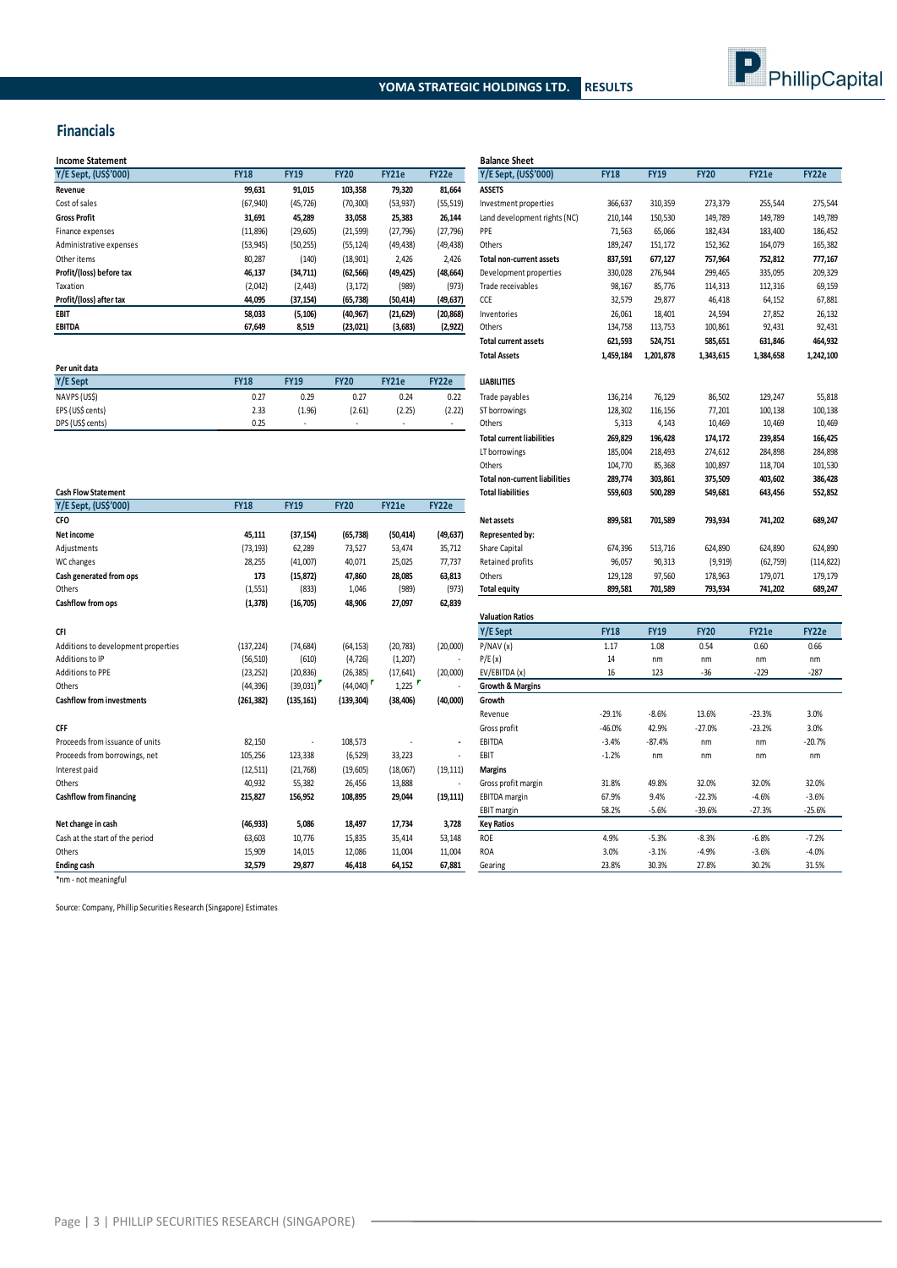



### **Financials**

| <b>Income Statement</b>  |             |             |             |           |           | <b>Balance Sheet</b>         |             |             |             |              |         |
|--------------------------|-------------|-------------|-------------|-----------|-----------|------------------------------|-------------|-------------|-------------|--------------|---------|
| Y/E Sept, (US\$'000)     | <b>FY18</b> | <b>FY19</b> | <b>FY20</b> | FY21e     | FY22e     | Y/E Sept, (US\$'000)         | <b>FY18</b> | <b>FY19</b> | <b>FY20</b> | <b>FY21e</b> | FY22e   |
| Revenue                  | 99,631      | 91,015      | 103,358     | 79,320    | 81,664    | <b>ASSETS</b>                |             |             |             |              |         |
| Cost of sales            | (67, 940)   | (45, 726)   | (70, 300)   | (53, 937) | (55, 519) | Investment properties        | 366,637     | 310,359     | 273,379     | 255,544      | 275,544 |
| <b>Gross Profit</b>      | 31,691      | 45.289      | 33,058      | 25,383    | 26.144    | Land development rights (NC) | 210,144     | 150,530     | 149,789     | 149,789      | 149,789 |
| Finance expenses         | (11,896)    | (29, 605)   | (21, 599)   | (27, 796) | (27, 796) | PPE                          | 71,563      | 65,066      | 182,434     | 183,400      | 186,452 |
| Administrative expenses  | (53, 945)   | (50, 255)   | (55, 124)   | (49, 438) | (49, 438) | Others                       | 189,247     | 151,172     | 152,362     | 164,079      | 165,382 |
| Other items              | 80,287      | (140)       | (18,901)    | 2,426     | 2,426     | Total non-current assets     | 837,591     | 677,127     | 757,964     | 752,812      | 777,167 |
| Profit/(loss) before tax | 46,137      | (34,711)    | (62, 566)   | (49, 425) | (48, 664) | Development properties       | 330,028     | 276,944     | 299,465     | 335,095      | 209,329 |
| Taxation                 | (2,042)     | (2, 443)    | (3, 172)    | (989)     | (973)     | Trade receivables            | 98,167      | 85,776      | 114,313     | 112,316      | 69,159  |
| Profit/(loss) after tax  | 44,095      | (37, 154)   | (65, 738)   | (50, 414) | (49, 637) | CCE                          | 32,579      | 29,877      | 46,418      | 64,152       | 67,881  |
| EBIT                     | 58,033      | (5, 106)    | (40, 967)   | (21, 629) | (20, 868) | Inventories                  | 26,061      | 18,401      | 24,594      | 27,852       | 26,132  |
| <b>EBITDA</b>            | 67,649      | 8,519       | (23, 021)   | (3,683)   | (2, 922)  | Others                       | 134,758     | 113,753     | 100,861     | 92,431       | 92,431  |
|                          |             |             |             |           |           |                              |             |             |             |              |         |

|                  |             |             |                          |        |        | .                  | --------- | ---------- | -------- | -------- | ------- |
|------------------|-------------|-------------|--------------------------|--------|--------|--------------------|-----------|------------|----------|----------|---------|
| Per unit data    |             |             |                          |        |        |                    |           |            |          |          |         |
| Y/E Sept         | <b>FY18</b> | <b>FY19</b> | <b>FY20</b>              | FY21e  | FY22e  | <b>LIABILITIES</b> |           |            |          |          |         |
| NAVPS (US\$)     | 0.27        | 0.29        | 0.27                     | 0.24   | 0.22   | Trade payables     | 136,214   | 76,129     | 86,502   | 129,247  |         |
| EPS (US\$ cents) | 2.33        | (1.96)      | (2.61)                   | (2.25) | (2.22) | ST borrowings      | 128,302   | 116.156    | 77,201   | 100,138  |         |
| DPS (US\$ cents) | 0.25        |             | $\overline{\phantom{a}}$ | . .    |        | Others             | 5,313     | 4.143      | 10,469   | 10,469   |         |

|                                     |             |             |             |              |                |                             |             |             |             |              | ,          |
|-------------------------------------|-------------|-------------|-------------|--------------|----------------|-----------------------------|-------------|-------------|-------------|--------------|------------|
| <b>Cash Flow Statement</b>          |             |             |             |              |                | <b>Total liabilities</b>    | 559,603     | 500,289     | 549,681     | 643,456      | 552,852    |
| Y/E Sept, (US\$'000)                | <b>FY18</b> | <b>FY19</b> | <b>FY20</b> | <b>FY21e</b> | FY22e          |                             |             |             |             |              |            |
| <b>CFO</b>                          |             |             |             |              |                | Net assets                  | 899,581     | 701,589     | 793,934     | 741,202      | 689,247    |
| Net income                          | 45,111      | (37, 154)   | (65, 738)   | (50, 414)    | (49, 637)      | Represented by:             |             |             |             |              |            |
| Adjustments                         | (73, 193)   | 62,289      | 73,527      | 53,474       | 35,712         | Share Capital               | 674,396     | 513,716     | 624,890     | 624,890      | 624,890    |
| WC changes                          | 28,255      | (41,007)    | 40,071      | 25,025       | 77,737         | Retained profits            | 96,057      | 90,313      | (9, 919)    | (62, 759)    | (114, 822) |
| Cash generated from ops             | 173         | (15, 872)   | 47,860      | 28,085       | 63,813         | Others                      | 129,128     | 97,560      | 178,963     | 179,071      | 179,179    |
| Others                              | (1, 551)    | (833)       | 1,046       | (989)        | (973)          | <b>Total equity</b>         | 899,581     | 701,589     | 793,934     | 741,202      | 689,247    |
| Cashflow from ops                   | (1, 378)    | (16,705)    | 48,906      | 27,097       | 62,839         |                             |             |             |             |              |            |
|                                     |             |             |             |              |                | <b>Valuation Ratios</b>     |             |             |             |              |            |
| CFI                                 |             |             |             |              |                | Y/E Sept                    | <b>FY18</b> | <b>FY19</b> | <b>FY20</b> | <b>FY21e</b> | FY22e      |
| Additions to development properties | (137, 224)  | (74, 684)   | (64, 153)   | (20, 783)    | (20,000)       | P/NAV(x)                    | 1.17        | 1.08        | 0.54        | 0.60         | 0.66       |
| Additions to IP                     | (56, 510)   | (610)       | (4, 726)    | (1, 207)     |                | P/E(x)                      | 14          | nm          | nm          | nm           | nm         |
| Additions to PPE                    | (23, 252)   | (20, 836)   | (26, 385)   | (17, 641)    | (20,000)       | EV/EBITDA (x)               | 16          | 123         | $-36$       | $-229$       | $-287$     |
| Others                              | (44, 396)   | (39,031)    | (44,040)    | 1,225        |                | <b>Growth &amp; Margins</b> |             |             |             |              |            |
| <b>Cashflow from investments</b>    | (261, 382)  | (135, 161)  | (139, 304)  | (38, 406)    | (40,000)       | Growth                      |             |             |             |              |            |
|                                     |             |             |             |              |                | Revenue                     | $-29.1%$    | $-8.6%$     | 13.6%       | $-23.3%$     | 3.0%       |
| <b>CFF</b>                          |             |             |             |              |                | Gross profit                | $-46.0%$    | 42.9%       | $-27.0%$    | $-23.2%$     | 3.0%       |
| Proceeds from issuance of units     | 82,150      |             | 108,573     |              | $\blacksquare$ | EBITDA                      | $-3.4%$     | $-87.4%$    | nm          | nm           | $-20.7%$   |
| Proceeds from borrowings, net       | 105,256     | 123,338     | (6, 529)    | 33,223       |                | EBIT                        | $-1.2%$     | nm          | nm          | nm           | nm         |
| Interest paid                       | (12, 511)   | (21, 768)   | (19, 605)   | (18,067)     | (19, 111)      | <b>Margins</b>              |             |             |             |              |            |
| Others                              | 40,932      | 55,382      | 26,456      | 13,888       | ٠              | Gross profit margin         | 31.8%       | 49.8%       | 32.0%       | 32.0%        | 32.0%      |
| <b>Cashflow from financing</b>      | 215,827     | 156.952     | 108,895     | 29,044       | (19, 111)      | <b>EBITDA</b> margin        | 67.9%       | 9.4%        | $-22.3%$    | $-4.6%$      | $-3.6%$    |
|                                     |             |             |             |              |                | EBIT margin                 | 58.2%       | $-5.6%$     | $-39.6%$    | $-27.3%$     | $-25.6%$   |
| Net change in cash                  | (46, 933)   | 5,086       | 18,497      | 17,734       | 3,728          | <b>Key Ratios</b>           |             |             |             |              |            |
| Cash at the start of the period     | 63,603      | 10.776      | 15,835      | 35,414       | 53,148         | <b>ROE</b>                  | 4.9%        | $-5.3%$     | $-8.3%$     | $-6.8%$      | $-7.2%$    |
| Others                              | 15,909      | 14.015      | 12,086      | 11.004       | 11.004         | <b>ROA</b>                  | 3.0%        | $-3.1%$     | $-4.9%$     | $-3.6%$      | $-4.0%$    |
| <b>Ending cash</b>                  | 32.579      | 29.877      | 46.418      | 64.152       | 67.881         | Gearing                     | 23.8%       | 30.3%       | 27.8%       | 30.2%        | 31.5%      |

 $\label{eq:2.1} \frac{1}{\sqrt{2}}\int_{\mathbb{R}^3}\frac{1}{\sqrt{2}}\left(\frac{1}{\sqrt{2}}\right)^2\left(\frac{1}{\sqrt{2}}\right)^2\left(\frac{1}{\sqrt{2}}\right)^2\left(\frac{1}{\sqrt{2}}\right)^2\left(\frac{1}{\sqrt{2}}\right)^2.$ 

 $\mathcal{L}_{\mathcal{L}}$ 

| <b>Balance Sheet</b>                 |             |             |             |              |           |
|--------------------------------------|-------------|-------------|-------------|--------------|-----------|
| Y/E Sept, (US\$'000)                 | <b>FY18</b> | <b>FY19</b> | <b>FY20</b> | <b>FY21e</b> | FY22e     |
| <b>ASSETS</b>                        |             |             |             |              |           |
| Investment properties                | 366,637     | 310,359     | 273,379     | 255,544      | 275,544   |
| Land development rights (NC)         | 210,144     | 150,530     | 149,789     | 149,789      | 149,789   |
| PPE                                  | 71,563      | 65,066      | 182,434     | 183,400      | 186,452   |
| Others                               | 189,247     | 151,172     | 152,362     | 164,079      | 165,382   |
| <b>Total non-current assets</b>      | 837,591     | 677,127     | 757,964     | 752,812      | 777,167   |
| Development properties               | 330,028     | 276,944     | 299,465     | 335,095      | 209,329   |
| Trade receivables                    | 98,167      | 85,776      | 114,313     | 112,316      | 69,159    |
| CCE                                  | 32,579      | 29,877      | 46,418      | 64,152       | 67,881    |
| Inventories                          | 26,061      | 18,401      | 24,594      | 27,852       | 26,132    |
| Others                               | 134,758     | 113,753     | 100,861     | 92,431       | 92,431    |
| <b>Total current assets</b>          | 621,593     | 524,751     | 585,651     | 631,846      | 464,932   |
| <b>Total Assets</b>                  | 1,459,184   | 1,201,878   | 1,343,615   | 1,384,658    | 1,242,100 |
| <b>LIABILITIES</b>                   |             |             |             |              |           |
| Trade payables                       | 136,214     | 76,129      | 86,502      | 129,247      | 55,818    |
| ST borrowings                        | 128,302     | 116,156     | 77,201      | 100,138      | 100,138   |
| Others                               | 5,313       | 4,143       | 10,469      | 10,469       | 10,469    |
| <b>Total current liabilities</b>     | 269,829     | 196,428     | 174,172     | 239,854      | 166,425   |
| LT borrowings                        | 185,004     | 218,493     | 274,612     | 284,898      | 284,898   |
| Others                               | 104,770     | 85,368      | 100,897     | 118,704      | 101,530   |
| <b>Total non-current liabilities</b> | 289,774     | 303,861     | 375,509     | 403,602      | 386,428   |
| <b>Total liabilities</b>             | 559,603     | 500,289     | 549,681     | 643,456      | 552,852   |
|                                      |             |             |             |              |           |
| Net assets                           | 899,581     | 701,589     | 793,934     | 741,202      | 689,247   |
| Represented by:                      |             |             |             |              |           |
| Share Capital                        | 674,396     | 513,716     | 624,890     | 624,890      | 624,890   |
| Retained profits                     | 96,057      | 90,313      | (9, 919)    | (62, 759)    | (114,822) |
| Others                               | 129,128     | 97,560      | 178,963     | 179,071      | 179,179   |
| <b>Total equity</b>                  | 899,581     | 701,589     | 793,934     | 741,202      | 689,247   |
| <b>Valuation Ratios</b>              |             |             |             |              |           |
| Y/E Sept                             | <b>FY18</b> | <b>FY19</b> | <b>FY20</b> | <b>FY21e</b> | FY22e     |
| P/NAV(x)                             | 1.17        | 1.08        | 0.54        | 0.60         | 0.66      |
| P/E(x)                               | 14          | nm          | nm          | nm           | nm        |
| EV/EBITDA (x)                        | 16          | 123         | $-36$       | $-229$       | $-287$    |
| <b>Growth &amp; Margins</b>          |             |             |             |              |           |
| Growth                               |             |             |             |              |           |
| Revenue                              | $-29.1%$    | $-8.6%$     | 13.6%       | $-23.3%$     | 3.0%      |
| Gross profit                         | $-46.0%$    | 42.9%       | $-27.0%$    | $-23.2%$     | 3.0%      |
| EBITDA                               | $-3.4%$     | $-87.4%$    | nm          | nm           | $-20.7%$  |
| EBIT                                 | $-1.2%$     | nm          | nm          | nm           | nm        |
| <b>Margins</b>                       |             |             |             |              |           |
| Gross profit margin                  | 31.8%       | 49.8%       | 32.0%       | 32.0%        | 32.0%     |
| <b>EBITDA</b> margin                 | 67.9%       | 9.4%        | $-22.3%$    | $-4.6%$      | $-3.6%$   |
| EBIT margin                          | 58.2%       | $-5.6%$     | $-39.6%$    | $-27.3%$     | $-25.6%$  |
| <b>Key Ratios</b>                    |             |             |             |              |           |
| <b>ROE</b>                           | 4.9%        | $-5.3%$     | $-8.3%$     | $-6.8%$      | $-7.2%$   |
| <b>ROA</b>                           | 3.0%        | $-3.1%$     | $-4.9%$     | $-3.6%$      | $-4.0%$   |
| Gearing                              | 23.8%       | 30.3%       | 27.8%       | 30.2%        | 31.5%     |

\*nm - not meaningful

Source: Company, Phillip Securities Research (Singapore) Estimates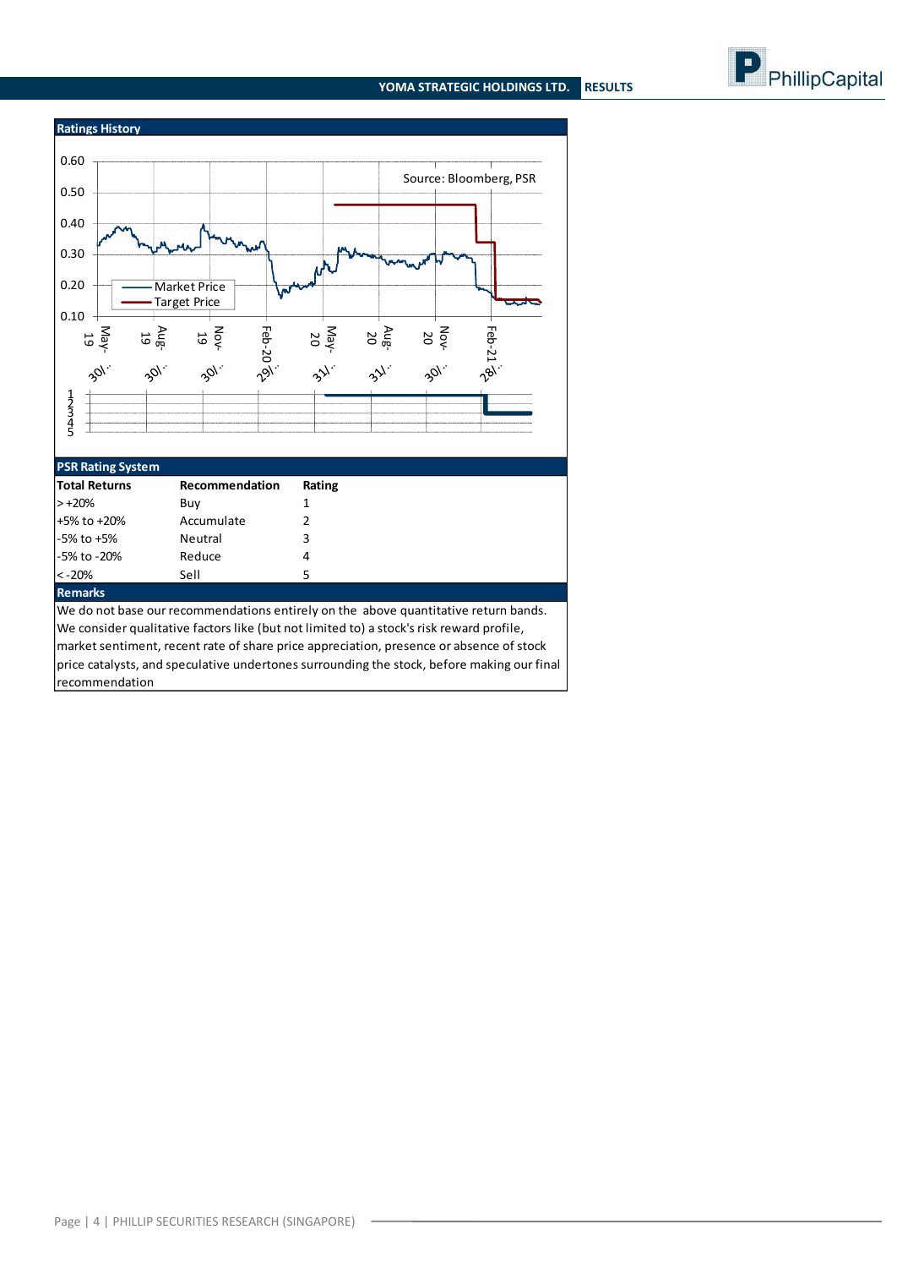#### **YOMA STRATEGIC HOLDINGS LTD. RESULTS**





#### **PSR Rating System**

| <b>Total Returns</b> | Recommendation | Rating |
|----------------------|----------------|--------|
| $> +20%$             | Buy            |        |
| +5% to +20%          | Accumulate     |        |
| $-5\%$ to $+5\%$     | <b>Neutral</b> | 3      |
| -5% to -20%          | Reduce         | 4      |
| $< -20%$             | Sell           | 5      |
| <b>Remarks</b>       |                |        |

We do not base our recommendations entirely on the above quantitative return bands. We consider qualitative factors like (but not limited to) a stock's risk reward profile, market sentiment, recent rate of share price appreciation, presence or absence of stock price catalysts, and speculative undertones surrounding the stock, before making our final recommendation